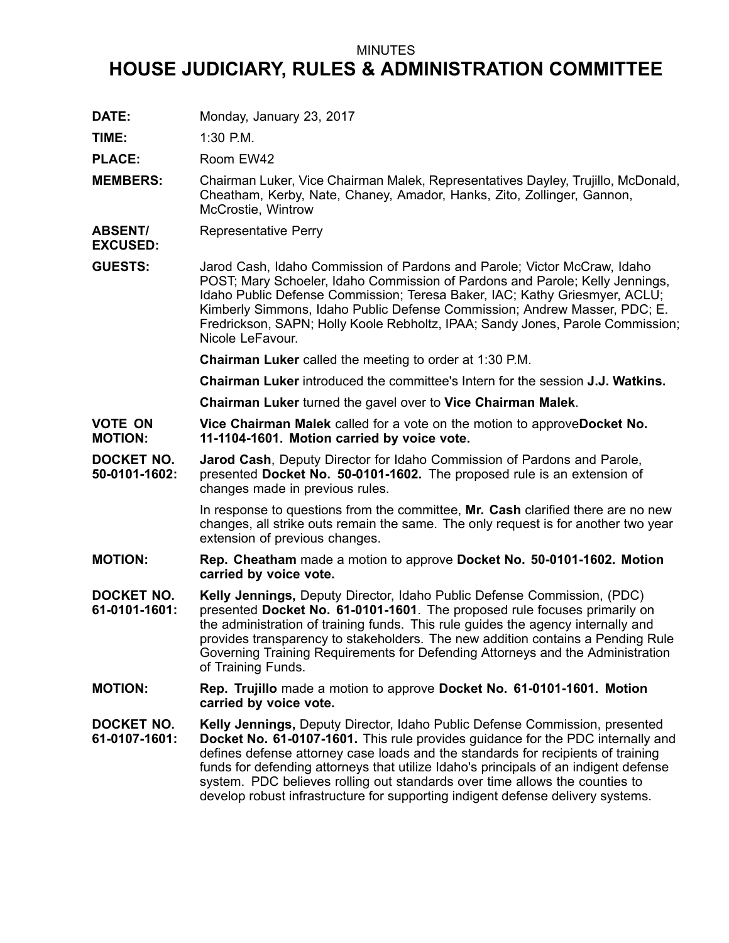## MINUTES

## **HOUSE JUDICIARY, RULES & ADMINISTRATION COMMITTEE**

**DATE:** Monday, January 23, 2017

**TIME:** 1:30 P.M.

PLACE: Room EW42

- **MEMBERS:** Chairman Luker, Vice Chairman Malek, Representatives Dayley, Trujillo, McDonald, Cheatham, Kerby, Nate, Chaney, Amador, Hanks, Zito, Zollinger, Gannon, McCrostie, Wintrow
- **ABSENT/** Representative Perry

**EXCUSED:**

**GUESTS:** Jarod Cash, Idaho Commission of Pardons and Parole; Victor McCraw, Idaho POST; Mary Schoeler, Idaho Commission of Pardons and Parole; Kelly Jennings, Idaho Public Defense Commission; Teresa Baker, IAC; Kathy Griesmyer, ACLU; Kimberly Simmons, Idaho Public Defense Commission; Andrew Masser, PDC; E. Fredrickson, SAPN; Holly Koole Rebholtz, IPAA; Sandy Jones, Parole Commission; Nicole LeFavour.

**Chairman Luker** called the meeting to order at 1:30 P.M.

**Chairman Luker** introduced the committee's Intern for the session **J.J. Watkins.**

**Chairman Luker** turned the gavel over to **Vice Chairman Malek**.

**VOTE ON MOTION: Vice Chairman Malek** called for <sup>a</sup> vote on the motion to approve**Docket No. 11-1104-1601. Motion carried by voice vote.**

**DOCKET NO. 50-0101-1602: Jarod Cash**, Deputy Director for Idaho Commission of Pardons and Parole, presented **Docket No. 50-0101-1602.** The proposed rule is an extension of changes made in previous rules.

> In response to questions from the committee, **Mr. Cash** clarified there are no new changes, all strike outs remain the same. The only request is for another two year extension of previous changes.

- **MOTION: Rep. Cheatham** made <sup>a</sup> motion to approve **Docket No. 50-0101-1602. Motion carried by voice vote.**
- **DOCKET NO. 61-0101-1601: Kelly Jennings,** Deputy Director, Idaho Public Defense Commission, (PDC) presented **Docket No. 61-0101-1601**. The proposed rule focuses primarily on the administration of training funds. This rule guides the agency internally and provides transparency to stakeholders. The new addition contains <sup>a</sup> Pending Rule Governing Training Requirements for Defending Attorneys and the Administration of Training Funds.
- **MOTION: Rep. Trujillo** made <sup>a</sup> motion to approve **Docket No. 61-0101-1601. Motion carried by voice vote.**

**DOCKET NO. 61-0107-1601: Kelly Jennings,** Deputy Director, Idaho Public Defense Commission, presented **Docket No. 61-0107-1601.** This rule provides guidance for the PDC internally and defines defense attorney case loads and the standards for recipients of training funds for defending attorneys that utilize Idaho's principals of an indigent defense system. PDC believes rolling out standards over time allows the counties to develop robust infrastructure for supporting indigent defense delivery systems.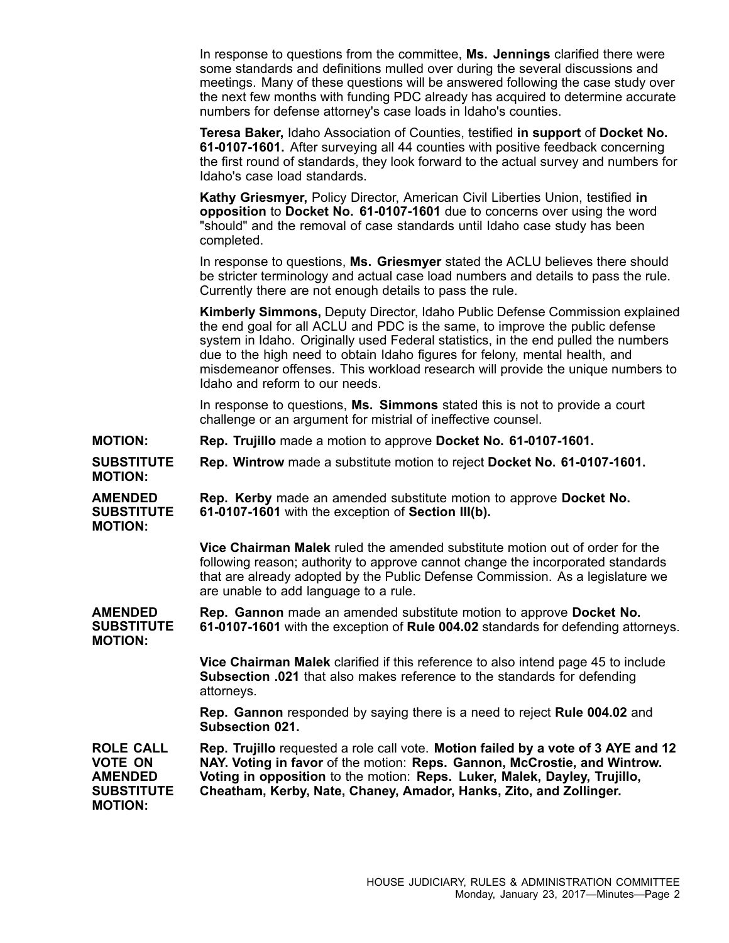In response to questions from the committee, **Ms. Jennings** clarified there were some standards and definitions mulled over during the several discussions and meetings. Many of these questions will be answered following the case study over the next few months with funding PDC already has acquired to determine accurate numbers for defense attorney's case loads in Idaho's counties.

**Teresa Baker,** Idaho Association of Counties, testified **in support** of **Docket No. 61-0107-1601.** After surveying all 44 counties with positive feedback concerning the first round of standards, they look forward to the actual survey and numbers for Idaho's case load standards.

**Kathy Griesmyer,** Policy Director, American Civil Liberties Union, testified **in opposition** to **Docket No. 61-0107-1601** due to concerns over using the word "should" and the removal of case standards until Idaho case study has been completed.

In response to questions, **Ms. Griesmyer** stated the ACLU believes there should be stricter terminology and actual case load numbers and details to pass the rule. Currently there are not enough details to pass the rule.

**Kimberly Simmons,** Deputy Director, Idaho Public Defense Commission explained the end goal for all ACLU and PDC is the same, to improve the public defense system in Idaho. Originally used Federal statistics, in the end pulled the numbers due to the high need to obtain Idaho figures for felony, mental health, and misdemeanor offenses. This workload research will provide the unique numbers to Idaho and reform to our needs.

In response to questions, **Ms. Simmons** stated this is not to provide <sup>a</sup> court challenge or an argument for mistrial of ineffective counsel.

- **MOTION: Rep. Trujillo** made <sup>a</sup> motion to approve **Docket No. 61-0107-1601.**
- **SUBSTITUTE Rep. Wintrow** made <sup>a</sup> substitute motion to reject **Docket No. 61-0107-1601.**

**AMENDED SUBSTITUTE MOTION: Rep. Kerby** made an amended substitute motion to approve **Docket No. 61-0107-1601** with the exception of **Section III(b).**

> **Vice Chairman Malek** ruled the amended substitute motion out of order for the following reason; authority to approve cannot change the incorporated standards that are already adopted by the Public Defense Commission. As <sup>a</sup> legislature we are unable to add language to <sup>a</sup> rule.

**AMENDED SUBSTITUTE Rep. Gannon** made an amended substitute motion to approve **Docket No. 61-0107-1601** with the exception of **Rule 004.02** standards for defending attorneys.

**MOTION:**

**MOTION:**

**Vice Chairman Malek** clarified if this reference to also intend page 45 to include **Subsection .021** that also makes reference to the standards for defending attorneys.

**Rep. Gannon** responded by saying there is <sup>a</sup> need to reject **Rule 004.02** and **Subsection 021.**

**ROLE CALL VOTE ON AMENDED SUBSTITUTE MOTION: Rep. Trujillo** requested <sup>a</sup> role call vote. **Motion failed by <sup>a</sup> vote of 3 AYE and 12 NAY. Voting in favor** of the motion: **Reps. Gannon, McCrostie, and Wintrow. Voting in opposition** to the motion: **Reps. Luker, Malek, Dayley, Trujillo, Cheatham, Kerby, Nate, Chaney, Amador, Hanks, Zito, and Zollinger.**